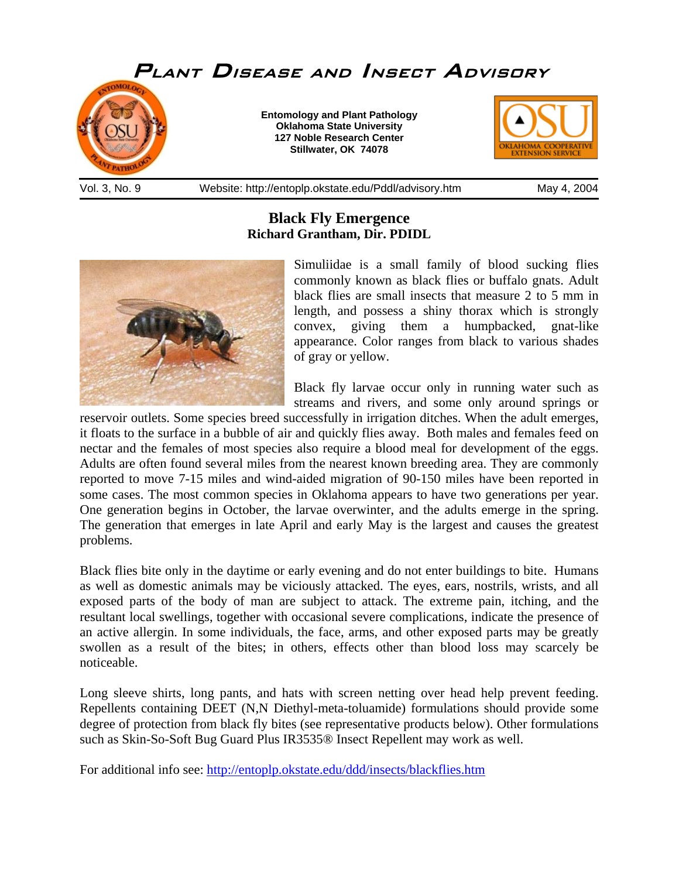

**Black Fly Emergence Richard Grantham, Dir. PDIDL**



Simuliidae is a small family of blood sucking flies commonly known as black flies or buffalo gnats. Adult black flies are small insects that measure 2 to 5 mm in length, and possess a shiny thorax which is strongly convex, giving them a humpbacked, gnat-like appearance. Color ranges from black to various shades of gray or yellow.

Black fly larvae occur only in running water such as streams and rivers, and some only around springs or

reservoir outlets. Some species breed successfully in irrigation ditches. When the adult emerges, it floats to the surface in a bubble of air and quickly flies away. Both males and females feed on nectar and the females of most species also require a blood meal for development of the eggs. Adults are often found several miles from the nearest known breeding area. They are commonly reported to move 7-15 miles and wind-aided migration of 90-150 miles have been reported in some cases. The most common species in Oklahoma appears to have two generations per year. One generation begins in October, the larvae overwinter, and the adults emerge in the spring. The generation that emerges in late April and early May is the largest and causes the greatest problems.

Black flies bite only in the daytime or early evening and do not enter buildings to bite. Humans as well as domestic animals may be viciously attacked. The eyes, ears, nostrils, wrists, and all exposed parts of the body of man are subject to attack. The extreme pain, itching, and the resultant local swellings, together with occasional severe complications, indicate the presence of an active allergin. In some individuals, the face, arms, and other exposed parts may be greatly swollen as a result of the bites; in others, effects other than blood loss may scarcely be noticeable.

Long sleeve shirts, long pants, and hats with screen netting over head help prevent feeding. Repellents containing DEET (N,N Diethyl-meta-toluamide) formulations should provide some degree of protection from black fly bites (see representative products below). Other formulations such as Skin-So-Soft Bug Guard Plus IR3535® Insect Repellent may work as well.

For additional info see: <http://entoplp.okstate.edu/ddd/insects/blackflies.htm>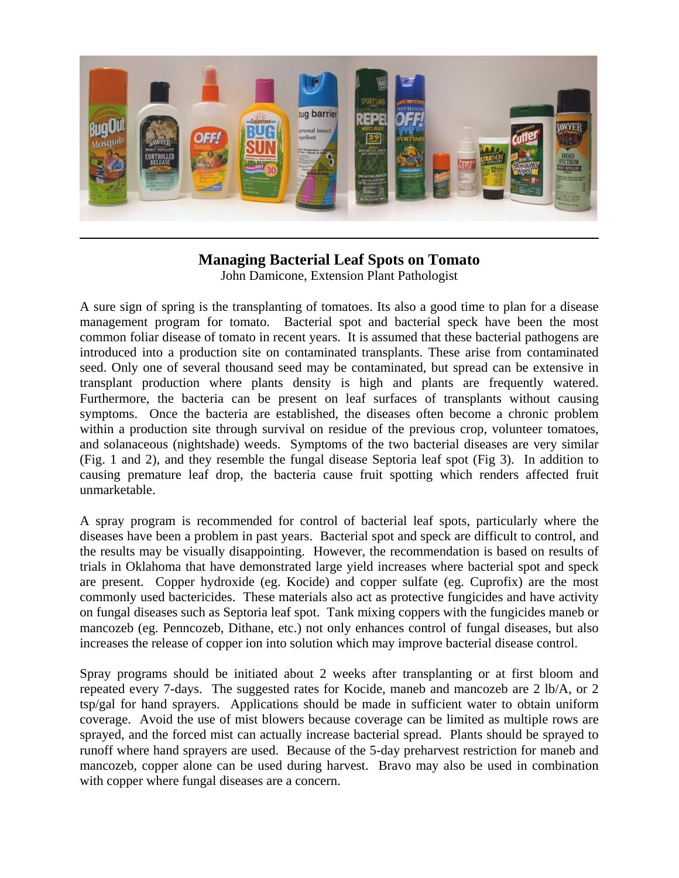

## **Managing Bacterial Leaf Spots on Tomato**

John Damicone, Extension Plant Pathologist

A sure sign of spring is the transplanting of tomatoes. Its also a good time to plan for a disease management program for tomato. Bacterial spot and bacterial speck have been the most common foliar disease of tomato in recent years. It is assumed that these bacterial pathogens are introduced into a production site on contaminated transplants. These arise from contaminated seed. Only one of several thousand seed may be contaminated, but spread can be extensive in transplant production where plants density is high and plants are frequently watered. Furthermore, the bacteria can be present on leaf surfaces of transplants without causing symptoms. Once the bacteria are established, the diseases often become a chronic problem within a production site through survival on residue of the previous crop, volunteer tomatoes, and solanaceous (nightshade) weeds. Symptoms of the two bacterial diseases are very similar (Fig. 1 and 2), and they resemble the fungal disease Septoria leaf spot (Fig 3). In addition to causing premature leaf drop, the bacteria cause fruit spotting which renders affected fruit unmarketable.

A spray program is recommended for control of bacterial leaf spots, particularly where the diseases have been a problem in past years. Bacterial spot and speck are difficult to control, and the results may be visually disappointing. However, the recommendation is based on results of trials in Oklahoma that have demonstrated large yield increases where bacterial spot and speck are present. Copper hydroxide (eg. Kocide) and copper sulfate (eg. Cuprofix) are the most commonly used bactericides. These materials also act as protective fungicides and have activity on fungal diseases such as Septoria leaf spot. Tank mixing coppers with the fungicides maneb or mancozeb (eg. Penncozeb, Dithane, etc.) not only enhances control of fungal diseases, but also increases the release of copper ion into solution which may improve bacterial disease control.

Spray programs should be initiated about 2 weeks after transplanting or at first bloom and repeated every 7-days. The suggested rates for Kocide, maneb and mancozeb are 2 lb/A, or 2 tsp/gal for hand sprayers. Applications should be made in sufficient water to obtain uniform coverage. Avoid the use of mist blowers because coverage can be limited as multiple rows are sprayed, and the forced mist can actually increase bacterial spread. Plants should be sprayed to runoff where hand sprayers are used. Because of the 5-day preharvest restriction for maneb and mancozeb, copper alone can be used during harvest. Bravo may also be used in combination with copper where fungal diseases are a concern.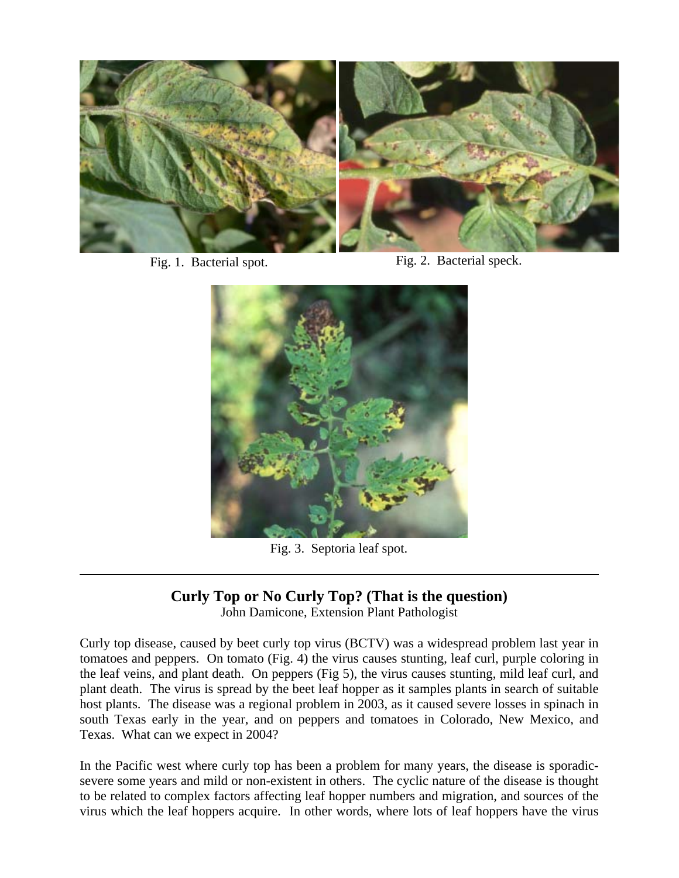

 $\overline{a}$ 

Fig. 1. Bacterial spot. Fig. 2. Bacterial speck.



Fig. 3. Septoria leaf spot.

## **Curly Top or No Curly Top? (That is the question)**

John Damicone, Extension Plant Pathologist

Curly top disease, caused by beet curly top virus (BCTV) was a widespread problem last year in tomatoes and peppers. On tomato (Fig. 4) the virus causes stunting, leaf curl, purple coloring in the leaf veins, and plant death. On peppers (Fig 5), the virus causes stunting, mild leaf curl, and plant death. The virus is spread by the beet leaf hopper as it samples plants in search of suitable host plants. The disease was a regional problem in 2003, as it caused severe losses in spinach in south Texas early in the year, and on peppers and tomatoes in Colorado, New Mexico, and Texas. What can we expect in 2004?

In the Pacific west where curly top has been a problem for many years, the disease is sporadicsevere some years and mild or non-existent in others. The cyclic nature of the disease is thought to be related to complex factors affecting leaf hopper numbers and migration, and sources of the virus which the leaf hoppers acquire. In other words, where lots of leaf hoppers have the virus